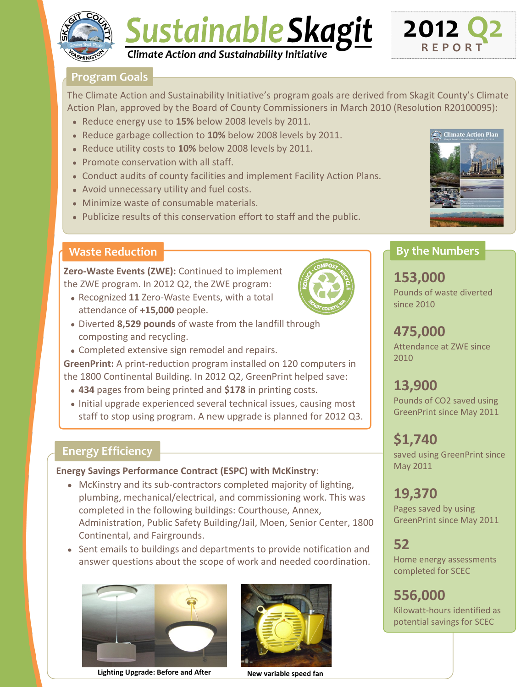

# Sustainable Skagit *Climate Action and Sustainability Initiative*



### **Program Goals**

The Climate Action and Sustainability Initiative's program goals are derived from Skagit County's Climate Action Plan, approved by the Board of County Commissioners in March 2010 (Resolution R20100095):

- Reduce energy use to **15%** below 2008 levels by 2011.
- Reduce garbage collection to **10%** below 2008 levels by 2011.
- Reduce utility costs to **10%** below 2008 levels by 2011.
- Promote conservation with all staff.
- Conduct audits of county facilities and implement Facility Action Plans.
- Avoid unnecessary utility and fuel costs.
- Minimize waste of consumable materials.
- Publicize results of this conservation effort to staff and the public.



### **Waste Reduction**

**Zero-Waste Events (ZWE):** Continued to implement the ZWE program. In 2012 Q2, the ZWE program:

- Recognized **11** Zero-Waste Events, with a total attendance of **+15,000** people.
- Diverted **8,529 pounds** of waste from the landfill through composting and recycling.
- Completed extensive sign remodel and repairs.

**GreenPrint:** A print-reduction program installed on 120 computers in the 1800 Continental Building. In 2012 Q2, GreenPrint helped save:

- **434** pages from being printed and **\$178** in printing costs.
- Initial upgrade experienced several technical issues, causing most staff to stop using program. A new upgrade is planned for 2012 Q3.

### **Energy Efficiency**

#### **Energy Savings Performance Contract (ESPC) with McKinstry**:

- McKinstry and its sub-contractors completed majority of lighting, plumbing, mechanical/electrical, and commissioning work. This was completed in the following buildings: Courthouse, Annex, Administration, Public Safety Building/Jail, Moen, Senior Center, 1800 Continental, and Fairgrounds.
- Sent emails to buildings and departments to provide notification and answer questions about the scope of work and needed coordination.



**Lighting Upgrade: Before and After New variable speed fan**



### **By the Numbers**

**153,000** Pounds of waste diverted since 2010

### **475,000** Attendance at ZWE since

2010

**13,900**

Pounds of CO2 saved using GreenPrint since May 2011

## **\$1,740**

saved using GreenPrint since May 2011

# **19,370**

Pages saved by using GreenPrint since May 2011

### **52**

Home energy assessments completed for SCEC

potential savings for SCEC

**556,000** Kilowatt-hours identified as